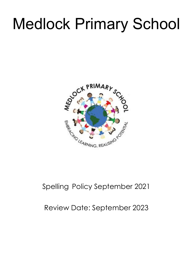# Medlock Primary School



# Spelling Policy September 2021

# Review Date: September 2023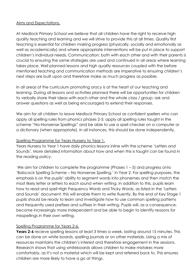#### Aims and Expectations.

At Medlock Primary School we believe that all children have the right to receive high quality teaching and learning and we will strive to provide this at all times. Quality first teaching is essential for children making progress (physically, socially and emotionally as well as academically) and where appropriate interventions will be put in place to support children's individual needs. Communication: both with each other and with their parents is crucial to ensuring the same strategies are used and continued in all areas where learning takes place. Well planned lessons and high quality resources coupled with the before mentioned teaching and communication methods are imperative to ensuring children's next steps are built upon and therefore make as much progress as possible.

In all areas of the curriculum promoting oracy is at the heart of our teaching and learning. During all lessons and activities planned there will be opportunities for children to verbally share their ideas with each other and the whole class / group; ask and answer questions as well as being encouraged to extend their responses.

We aim for all children to leave Medlock Primary School as confident spellers who can apply all spelling rules from phonics phases 2-5; apply all spelling rules taught in the scheme "No-Nonsense Spellings" and be able to use a spell checker on a computer or a dictionary (when appropriate). In all instances, this should be done independently.

#### Spelling Programme for Years Nursery to Year 1.

Years Nursery to Year 1 have daily phonics lessons inline with the scheme 'Letters and Sounds'. More detailed information about how and when this is taught can be found in the reading policy.

We aim for children to complete the programme (Phases 1 – 5) and progress onto 'Babcock Spelling Scheme – No Nonsense Spelling,' in Year 2. For spelling purposes, the emphasis is on the pupils' ability to segment words into phonemes and then match the most likely letter or letters to each sound when writing. In addition to this, pupils learn how to read and spell High Frequency Words and Tricky Words, as listed in the 'Letters and Sounds' document; this will enable them to write fluently. By the end of Key Stage 1 pupils should be ready to learn and investigate how to use common spelling patterns and frequently used prefixes and suffixes in their writing. Pupils will, as a consequence, become increasingly more independent and be able to begin to identify reasons for misspellings in their own writing.

# Spelling Programme for Years 2-6.

**Years 2-6** recieve spelling lessons at least 3 times a week, lasting around 15 minutes. This can be done on white boards, spelling journals or on other materials. Using a mix of resources maintains the children's interest and therefore engagement in the sessions. Research shows that using whiteboards allows children to make mistakes more comfortably, as it's not a material which will be kept and referred back to. This ensures children are more likely to have a go at things.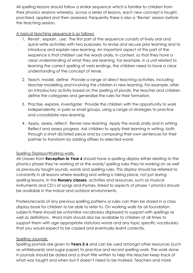All spelling lessons should follow a similar sequence which is familiar to children from their phonics sessions whereby, across a series of lessons, each new concept is taught, practised, applied and then assessed. Frequently there is also a 'Revise' session before the teaching session.

A typical teaching sequence is as follows:

- 1. Revisit , explain , use: The first part of the sequence consists of lively oral and quick-write activities with two purposes: to revise and secure prior learning and to introduce and explain new learning. An important aspect of this part of the sequence is that children use the words orally, in context, so that they have a clear understanding of what they are learning. For example, in a unit related to learning the correct spelling of verb endings, the children need to have a clear understanding of the concept of tense.
- 2. Teach, model, define: Provide a range of direct teaching activities, including teacher modelling and involving the children in new learning. For example, after an introductory activity based on the spelling of plurals, the teacher and children define the categories and generalize the rules for their formation.
- 3. Practise, explore, investigate: Provide the children with the opportunity to work independently, in pairs or small groups, using a range of strategies to practice and consolidate new learning.
- 4. Apply, assess, reflect: Revise new learning Apply the words orally and in writing Reflect and assess progress Ask children to apply their learning in writing, both through a short dictated piece and by composing their own sentences for their partner to transform by adding affixes to selected words

# Spelling Displays/Working walls.

All classes from **Reception to Year 6** should have a spelling display either relating to the phonics phase they're working at or the words/ spelling rules they're working on as well as previously taught sounds, words and spelling rules. This display should be referred to constantly in all lessons where reading and writing is taking place, not just during spelling lessons. In the **Nursery classes**, activities and resources, such as musical instruments and CD's of songs and rhymes, linked to aspects of phase 1 phonics should be available in the indoor and outdoor environments.

Posters/records of any previous spelling patterns or rules can then be stored in a class display book for children to be able to refer to. On working walls for all foundation subjects there should be unfamiliar vocabulary displayed to support with spellings as well as definitions. Word mats should also be available to children at all times to support them with age appropriate statutory words and any topic specific vocabulary that you would expect to be copied and eventually learnt correctly.

# Spelling Journals.

Spelling journals are given to **Years 2-6** and can be used amongst other resources (such as whiteboards and sugar paper) to practice and record spelling work. The work done in journals should be dated and a short title written to help the teacher keep track of what was taught and when but it doesn't need to be marked. Teachers and more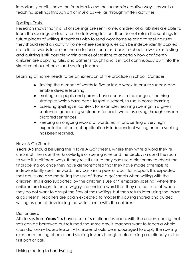importantly pupils, have the freedom to use the journals in creative ways , as well as teaching spellings through art or music as well as through written activities.

#### Spellings Tests.

Research shows that if a list of spellings are sent home, children of all abilities are able to learn the spellings perfectly for the following test but then do not retain the spellings for future pieces of writing. If teachers wish to send work home relating to spelling rules, they should send an activity home where spelling rules can be independently applied, not a list of words to be sent home to learn for a test back in school. Low stakes testing and quizzing is still possible within a series of sessions to ascertain how confidently children are applying rules and patterns taught and is in fact continuously built into the structure of our phonics and spelling lessons.

Learning at home needs to be an extension of the practice in school. Consider

- limiting the number of words to five or less a week to ensure success and enable deeper learning
- making sure pupils and parents have access to the range of learning strategies which have been taught in school, to use in home learning
- assessing spellings in context, for example: learning spellings in a given sentence, generating sentences for each word, assessing through unseen dictated sentences
- keeping an ongoing record of words learnt and setting a very high expectation of correct application in independent writing once a spelling has been learned.

# Have A Go Sheets.

**Years 3-6** should be using the "Have A Go" sheets, where they write a word they're unsure of, then use their knowledge of spelling rules and the displays around the room to write it in different ways. If they're still unsure they can use a dictionary to check the final spelling or, once they have demonstrated that they have made attempts to independently spell the word, they can ask a peer or adult for support. It is expected that adults are also modelling the use of 'have a go' sheets when writing with the children. This is also supported by the children's use of 'Temporary spelling' where the children are taught to put a wiggly line under a word that they are not sure of, when they do not want to disrupt the flow of their writing, but then return later using the 'have a go sheets'. Teachers are again expected to model this during shared and guided writing as part of developing the writer in role with the children.

#### Dictionaries.

All classes from **Years 1-6** have a set of 6 dictionaries each, with the understanding that sets can be borrowed but returned the same day, if teachers want to teach a whole class dictionary based lesson. All children should be encouraged to apply the spelling rules learnt during phonics and spelling lessons though, before using a dictionary as the first port of call.